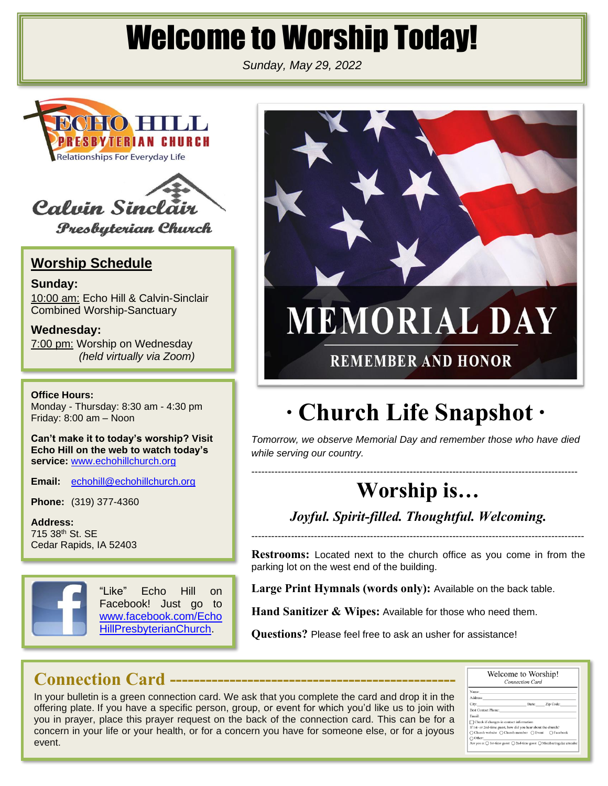# Welcome to Worship Today!

*Sunday, May 29, 2022*





**Presbyterian Church** 

#### **Worship Schedule**

**Sunday:** 10:00 am: Echo Hill & Calvin-Sinclair Combined Worship-Sanctuary

**Wednesday:** 7:00 pm: Worship on Wednesday *(held virtually via Zoom)*

**Office Hours:**

Monday - Thursday: 8:30 am - 4:30 pm Friday: 8:00 am – Noon

**Can't make it to today's worship? Visit Echo Hill on the web to watch today's service:** [www.echohillchurch.org](http://www.echohillchurch.org/)

**Email:** [echohill@echohillchurch.org](mailto:echohill@echohillchurch.org)

**Phone:** (319) 377-4360

**Address:** 715 38th St. SE Cedar Rapids, IA 52403



"Like" Echo Hill on Facebook! Just go to [www.facebook.com/Echo](http://www.facebook.com/EchoHillPresbyterianChurch) [HillPresbyterianChurch.](http://www.facebook.com/EchoHillPresbyterianChurch)



## **∙ Church Life Snapshot ∙**

*Tomorrow, we observe Memorial Day and remember those who have died while serving our country.*

---------------------------------------------------------------------------------------------------

## **Worship is…**

*Joyful. Spirit-filled. Thoughtful. Welcoming.*

-----------------------------------------------------------------------------------------------------

**Restrooms:** Located next to the church office as you come in from the parking lot on the west end of the building.

**Large Print Hymnals (words only):** Available on the back table.

**Hand Sanitizer & Wipes:** Available for those who need them.

**Questions?** Please feel free to ask an usher for assistance!

### **Connection Card ------------------------------------------------**

In your bulletin is a green connection card. We ask that you complete the card and drop it in the offering plate. If you have a specific person, group, or event for which you'd like us to join with you in prayer, place this prayer request on the back of the connection card. This can be for a concern in your life or your health, or for a concern you have for someone else, or for a joyous event.

| Welcome to Worship!<br><b>Connection Card</b>                                                  |                  |  |  |
|------------------------------------------------------------------------------------------------|------------------|--|--|
| Name:                                                                                          |                  |  |  |
| Address:                                                                                       |                  |  |  |
| City:                                                                                          | State: Zip Code: |  |  |
| <b>Best Contact Phone:</b>                                                                     |                  |  |  |
| Email:                                                                                         |                  |  |  |
| $\Box$ Check if changes in contact information                                                 |                  |  |  |
| If 1st- or 2nd-time guest, how did you hear about the church?                                  |                  |  |  |
| ○ Church website ○ Church member ○ Event ○ Facebook                                            |                  |  |  |
| $\bigcap$ Other:                                                                               |                  |  |  |
| Are you a: $\bigcap$ 1st-time guest $\bigcap$ 2nd-time guest $\bigcap$ Member/regular attender |                  |  |  |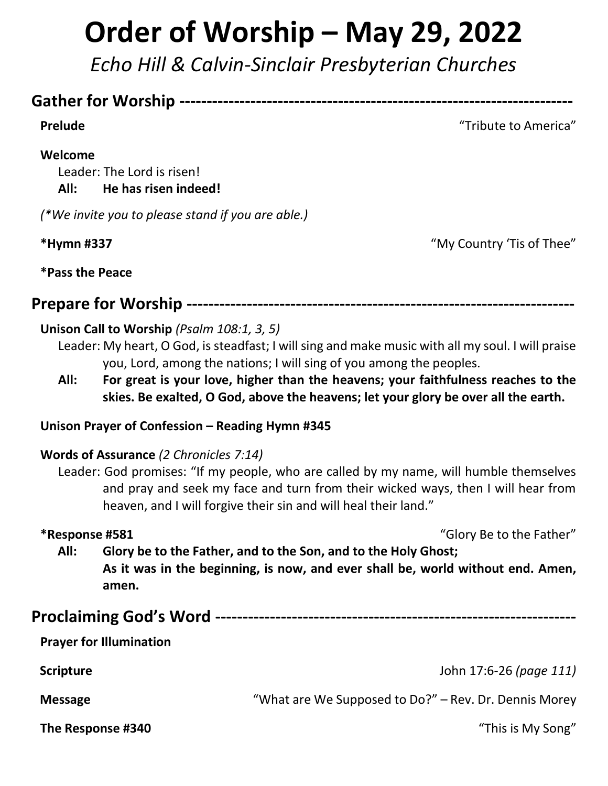# **Order of Worship – May 29, 2022**

*Echo Hill & Calvin-Sinclair Presbyterian Churches*

### **Gather for Worship ------------------------------------------------------------------------**

**Prelude** Tribute to America"

#### **Welcome**

Leader: The Lord is risen! **All: He has risen indeed!**

*(\*We invite you to please stand if you are able.)*

**\*Hymn #337** "My Country 'Tis of Thee"

**\*Pass the Peace**

**Prepare for Worship -----------------------------------------------------------------------**

#### **Unison Call to Worship** *(Psalm 108:1, 3, 5)*

Leader: My heart, O God, is steadfast; I will sing and make music with all my soul. I will praise you, Lord, among the nations; I will sing of you among the peoples.

**All: For great is your love, higher than the heavens; your faithfulness reaches to the skies. Be exalted, O God, above the heavens; let your glory be over all the earth.**

#### **Unison Prayer of Confession – Reading Hymn #345**

#### **Words of Assurance** *(2 Chronicles 7:14)*

Leader: God promises: "If my people, who are called by my name, will humble themselves and pray and seek my face and turn from their wicked ways, then I will hear from heaven, and I will forgive their sin and will heal their land."

**\*Response #581** "Glory Be to the Father"

**All: Glory be to the Father, and to the Son, and to the Holy Ghost; As it was in the beginning, is now, and ever shall be, world without end. Amen, amen.**

**Proclaiming God's Word ------------------------------------------------------------------ Prayer for Illumination Scripture** John 17:6-26 *(page 111)* **Message** "What are We Supposed to Do?" – Rev. Dr. Dennis Morey **The Response #340**"This is My Song"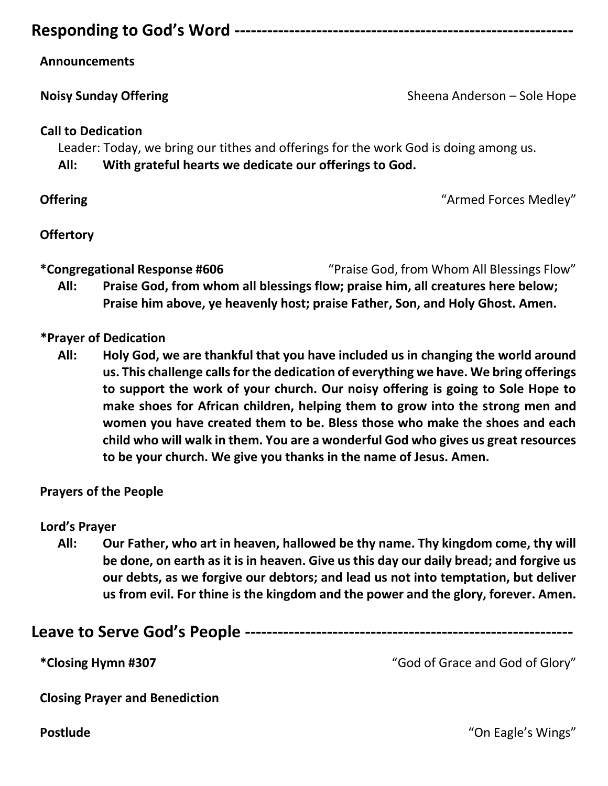#### **Responding to God's Word --------------------------------------------------------------**

#### **Announcements**

**Noisy Sunday Offering**   $\qquad \qquad$  Sheena Anderson – Sole Hope

#### **Call to Dedication**

Leader: Today, we bring our tithes and offerings for the work God is doing among us.

**All: With grateful hearts we dedicate our offerings to God.**

**Offering**  $\blacksquare$  **Armed Forces Medley**  $\blacksquare$ 

#### **Offertory**

**\*Congregational Response #606** "Praise God, from Whom All Blessings Flow"

**All: Praise God, from whom all blessings flow; praise him, all creatures here below; Praise him above, ye heavenly host; praise Father, Son, and Holy Ghost. Amen.**

#### **\*Prayer of Dedication**

**All: Holy God, we are thankful that you have included us in changing the world around us. This challenge calls for the dedication of everything we have. We bring offerings to support the work of your church. Our noisy offering is going to Sole Hope to make shoes for African children, helping them to grow into the strong men and women you have created them to be. Bless those who make the shoes and each child who will walk in them. You are a wonderful God who gives us great resources to be your church. We give you thanks in the name of Jesus. Amen.**

#### **Prayers of the People**

#### **Lord's Prayer**

**All: Our Father, who art in heaven, hallowed be thy name. Thy kingdom come, thy will be done, on earth as it is in heaven. Give us this day our daily bread; and forgive us our debts, as we forgive our debtors; and lead us not into temptation, but deliver us from evil. For thine is the kingdom and the power and the glory, forever. Amen.**

|--|--|

**\*Closing Hymn #307** "God of Grace and God of Glory"

**Closing Prayer and Benediction**

**Postlude** "On Eagle's Wings"